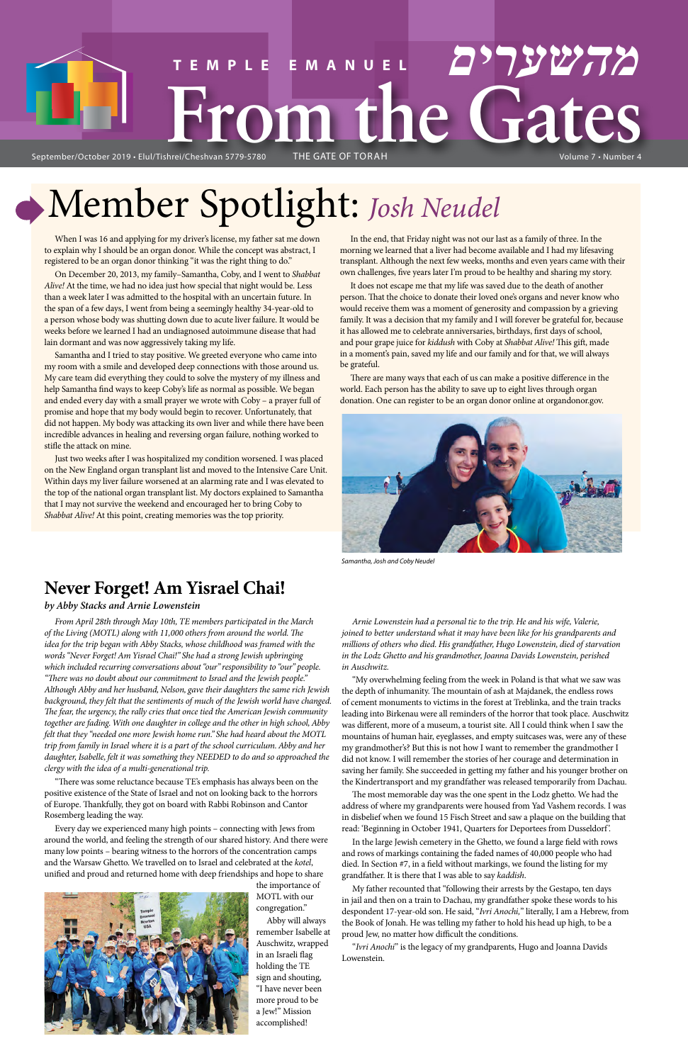# Volume 7 • Number 4 **TEMPLE EMANUEL מהשערים Mune GateS**

September/October 2019 · Elul/Tishrei/Cheshvan 5779-5780

# Member Spotlight: *Josh Neudel*

When I was 16 and applying for my driver's license, my father sat me down to explain why I should be an organ donor. While the concept was abstract, I registered to be an organ donor thinking "it was the right thing to do."

On December 20, 2013, my family–Samantha, Coby, and I went to *Shabbat Alive!* At the time, we had no idea just how special that night would be. Less than a week later I was admitted to the hospital with an uncertain future. In the span of a few days, I went from being a seemingly healthy 34-year-old to a person whose body was shutting down due to acute liver failure. It would be weeks before we learned I had an undiagnosed autoimmune disease that had lain dormant and was now aggressively taking my life.

Samantha and I tried to stay positive. We greeted everyone who came into my room with a smile and developed deep connections with those around us. My care team did everything they could to solve the mystery of my illness and help Samantha find ways to keep Coby's life as normal as possible. We began and ended every day with a small prayer we wrote with Coby – a prayer full of promise and hope that my body would begin to recover. Unfortunately, that did not happen. My body was attacking its own liver and while there have been incredible advances in healing and reversing organ failure, nothing worked to stifle the attack on mine.

Just two weeks after I was hospitalized my condition worsened. I was placed on the New England organ transplant list and moved to the Intensive Care Unit. Within days my liver failure worsened at an alarming rate and I was elevated to the top of the national organ transplant list. My doctors explained to Samantha that I may not survive the weekend and encouraged her to bring Coby to *Shabbat Alive!* At this point, creating memories was the top priority.

In the end, that Friday night was not our last as a family of three. In the morning we learned that a liver had become available and I had my lifesaving transplant. Although the next few weeks, months and even years came with their own challenges, five years later I'm proud to be healthy and sharing my story.

There was some reluctance because TE's emphasis has always been on the positive existence of the State of Israel and not on looking back to the horrors of Europe. Thankfully, they got on board with Rabbi Robinson and Cantor Rosemberg leading the way.

It does not escape me that my life was saved due to the death of another person. That the choice to donate their loved one's organs and never know who would receive them was a moment of generosity and compassion by a grieving family. It was a decision that my family and I will forever be grateful for, because it has allowed me to celebrate anniversaries, birthdays, first days of school, and pour grape juice for *kiddush* with Coby at *Shabbat Alive!* This gift, made in a moment's pain, saved my life and our family and for that, we will always be grateful.

There are many ways that each of us can make a positive difference in the world. Each person has the ability to save up to eight lives through organ donation. One can register to be an organ donor online at organdonor.gov.

# **Never Forget! Am Yisrael Chai!**

#### *by Abby Stacks and Arnie Lowenstein*

*From April 28th through May 10th, TE members participated in the March of the Living (MOTL) along with 11,000 others from around the world. The idea for the trip began with Abby Stacks, whose childhood was framed with the words "Never Forget! Am Yisrael Chai!" She had a strong Jewish upbringing which included recurring conversations about "our" responsibility to "our" people. "There was no doubt about our commitment to Israel and the Jewish people." Although Abby and her husband, Nelson, gave their daughters the same rich Jewish background, they felt that the sentiments of much of the Jewish world have changed. The fear, the urgency, the rally cries that once tied the American Jewish community together are fading. With one daughter in college and the other in high school, Abby felt that they "needed one more Jewish home run." She had heard about the MOTL trip from family in Israel where it is a part of the school curriculum. Abby and her daughter, Isabelle, felt it was something they NEEDED to do and so approached the clergy with the idea of a multi-generational trip.*

Every day we experienced many high points – connecting with Jews from around the world, and feeling the strength of our shared history. And there were many low points – bearing witness to the horrors of the concentration camps and the Warsaw Ghetto. We travelled on to Israel and celebrated at the *kotel*, unified and proud and returned home with deep friendships and hope to share



the importance of MOTL with our congregation."

Abby will always remember Isabelle at Auschwitz, wrapped in an Israeli flag holding the TE sign and shouting, "I have never been more proud to be a Jew!" Mission accomplished!

*Arnie Lowenstein had a personal tie to the trip. He and his wife, Valerie, joined to better understand what it may have been like for his grandparents and millions of others who died. His grandfather, Hugo Lowenstein, died of starvation in the Lodz Ghetto and his grandmother, Joanna Davids Lowenstein, perished in Auschwitz.*

"My overwhelming feeling from the week in Poland is that what we saw was the depth of inhumanity. The mountain of ash at Majdanek, the endless rows of cement monuments to victims in the forest at Treblinka, and the train tracks leading into Birkenau were all reminders of the horror that took place. Auschwitz was different, more of a museum, a tourist site. All I could think when I saw the mountains of human hair, eyeglasses, and empty suitcases was, were any of these my grandmother's? But this is not how I want to remember the grandmother I did not know. I will remember the stories of her courage and determination in saving her family. She succeeded in getting my father and his younger brother on

the Kindertransport and my grandfather was released temporarily from Dachau.

The most memorable day was the one spent in the Lodz ghetto. We had the address of where my grandparents were housed from Yad Vashem records. I was in disbelief when we found 15 Fisch Street and saw a plaque on the building that read: 'Beginning in October 1941, Quarters for Deportees from Dusseldorf'.

In the large Jewish cemetery in the Ghetto, we found a large field with rows and rows of markings containing the faded names of 40,000 people who had died. In Section #7, in a field without markings, we found the listing for my grandfather. It is there that I was able to say *kaddish*.

My father recounted that "following their arrests by the Gestapo, ten days in jail and then on a train to Dachau, my grandfather spoke these words to his despondent 17-year-old son. He said, "*Ivri Anochi,*" literally, I am a Hebrew, from the Book of Jonah. He was telling my father to hold his head up high, to be a proud Jew, no matter how difficult the conditions.

"*Ivri Anochi*" is the legacy of my grandparents, Hugo and Joanna Davids Lowenstein.



*Samantha, Josh and Coby Neudel*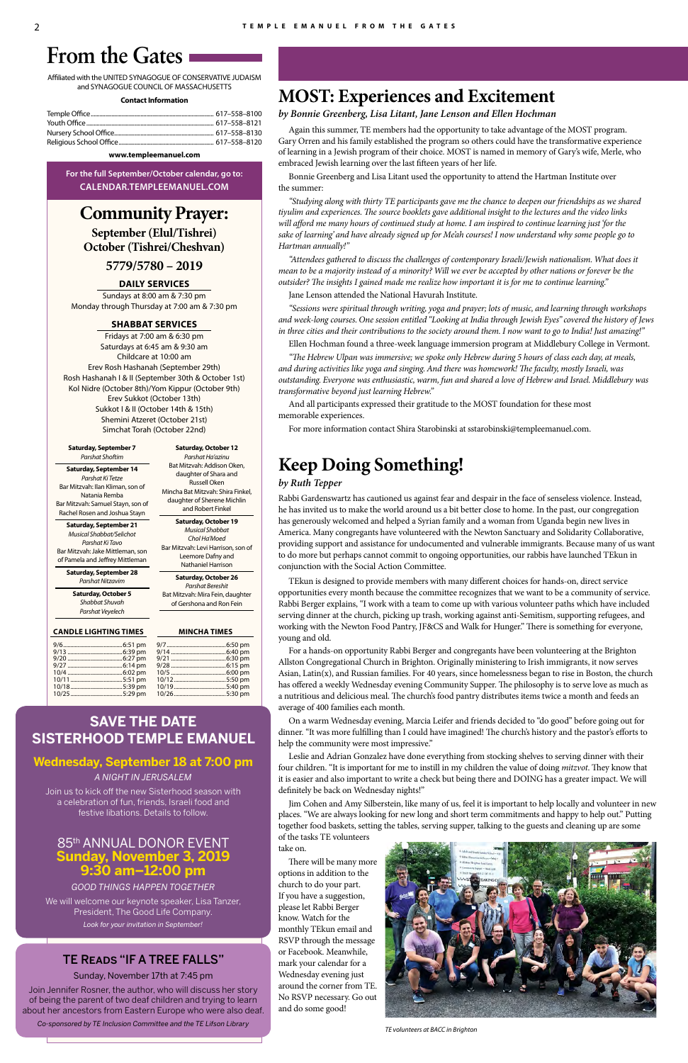# **From the Gates**

Affiliated with the UNITED SYNAGOGUE OF CONSERVATIVE JUDAISM and SYNAGOGUE COUNCIL OF MASSACHUSETTS

#### **Contact Information**

| Temple Office…………………………………………………………………………… 617–558–8100 |  |
|---------------------------------------------------------|--|
|                                                         |  |
|                                                         |  |
|                                                         |  |
|                                                         |  |

#### www.templeemanuel.com

For the full September/October calendar, go to: CALENDAR.TEMPLEEMANUEL.COM

# **Community Prayer:**

September (Elul/Tishrei) October (Tishrei/Cheshvan)

## $5779/5780 - 2019$

#### **DAILY SERVICES**

Sundays at 8:00 am & 7:30 pm Monday through Thursday at 7:00 am & 7:30 pm

#### **SHABBAT SERVICES**

Fridays at 7:00 am & 6:30 pm Saturdays at 6:45 am & 9:30 am Childcare at 10:00 am Erev Rosh Hashanah (September 29th) Rosh Hashanah I & II (September 30th & October 1st) Kol Nidre (October 8th)/Yom Kippur (October 9th) Erev Sukkot (October 13th) Sukkot I & II (October 14th & 15th) Shemini Atzeret (October 21st) Simchat Torah (October 22nd)

**Saturday, October 12** 

Parshat Ha'azinu

Bat Mitzvah: Addison Oken,

daughter of Shara and

**Russell Oken** 

Mincha Bat Mitzvah: Shira Finkel,

daughter of Sherene Michlin

and Robert Finkel

**Saturday, October 19** 

**Musical Shabbat** 

Chol Ha'Moed

Bar Mitzvah: Levi Harrison, son of

Leemore Dafny and

Nathaniel Harrison

Saturday, October 26

Parshat Bereshit

Bat Mitzvah: Mira Fein, daughter

of Gershona and Ron Fein

**MINCHA TIMES** 

#### **Saturday, September 7 Parshat Shoftim**

**Saturday, September 14** Parshat Ki Tetze Bar Mitzvah: Ilan Kliman, son of Natania Remba Bar Mitzvah: Samuel Stayn, son of Rachel Rosen and Joshua Stayn

**Saturday, September 21** Musical Shabbat/Selichot Parshat Ki Tavo Bar Mitzvah: Jake Mittleman, son of Pamela and Jeffrey Mittleman

**Saturday, September 28** Parshat Nitzavim

**Saturday, October 5** 

Shabbat Shuvah Parshat Veyelech

#### **CANDLE LIGHTING TIMES**

 $\frac{9}{9}$ 

9,

 $\frac{9}{1}$ 

 $\mathbf{1}$ 

 $\frac{1}{1}$ 

# **SAVE THE DATE SISTERHOOD TEMPLE EMANUEL**

Wednesday, September 18 at 7:00 pm A NIGHT IN JERUSALEM

# **MOST: Experiences and Excitement**

#### by Bonnie Greenberg, Lisa Litant, Jane Lenson and Ellen Hochman

Again this summer, TE members had the opportunity to take advantage of the MOST program. Gary Orren and his family established the program so others could have the transformative experience of learning in a Jewish program of their choice. MOST is named in memory of Gary's wife, Merle, who embraced Jewish learning over the last fifteen years of her life.

Bonnie Greenberg and Lisa Litant used the opportunity to attend the Hartman Institute over the summer:

"Studying along with thirty TE participants gave me the chance to deepen our friendships as we shared tiyulim and experiences. The source booklets gave additional insight to the lectures and the video links will afford me many hours of continued study at home. I am inspired to continue learning just 'for the sake of learning' and have already signed up for Me'ah courses! I now understand why some people go to Hartman annually!"

"Attendees gathered to discuss the challenges of contemporary Israeli/Jewish nationalism. What does it mean to be a majority instead of a minority? Will we ever be accepted by other nations or forever be the outsider? The insights I gained made me realize how important it is for me to continue learning."

Jane Lenson attended the National Havurah Institute.

"Sessions were spiritual through writing, yoga and prayer; lots of music, and learning through workshops and week-long courses. One session entitled "Looking at India through Jewish Eyes" covered the history of Jews in three cities and their contributions to the society around them. I now want to go to India! Just amazing!"

Ellen Hochman found a three-week language immersion program at Middlebury College in Vermont.

"The Hebrew Ulpan was immersive; we spoke only Hebrew during 5 hours of class each day, at meals, and during activities like yoga and singing. And there was homework! The faculty, mostly Israeli, was outstanding. Everyone was enthusiastic, warm, fun and shared a love of Hebrew and Israel. Middlebury was transformative beyond just learning Hebrew."

And all participants expressed their gratitude to the MOST foundation for these most memorable experiences.

For more information contact Shira Starobinski at sstarobinski@templeemanuel.com.

# **Keep Doing Something!**

#### by Ruth Tepper

Rabbi Gardenswartz has cautioned us against fear and despair in the face of senseless violence. Instead, he has invited us to make the world around us a bit better close to home. In the past, our congregation has generously welcomed and helped a Syrian family and a woman from Uganda begin new lives in America. Many congregants have volunteered with the Newton Sanctuary and Solidarity Collaborative, providing support and assistance for undocumented and vulnerable immigrants. Because many of us want to do more but perhaps cannot commit to ongoing opportunities, our rabbis have launched TEkun in conjunction with the Social Action Committee.

TEkun is designed to provide members with many different choices for hands-on, direct service opportunities every month because the committee recognizes that we want to be a community of service. Rabbi Berger explains, "I work with a team to come up with various volunteer paths which have included serving dinner at the church, picking up trash, working against anti-Semitism, supporting refugees, and working with the Newton Food Pantry, JF&CS and Walk for Hunger." There is something for everyone, young and old.

For a hands-on opportunity Rabbi Berger and congregants have been volunteering at the Brighton Allston Congregational Church in Brighton. Originally ministering to Irish immigrants, it now serves Asian, Latin(x), and Russian families. For 40 years, since homelessness began to rise in Boston, the church has offered a weekly Wednesday evening Community Supper. The philosophy is to serve love as much as a nutritious and delicious meal. The church's food pantry distributes items twice a month and feeds an average of 400 families each month.

On a warm Wednesday evening, Marcia Leifer and friends decided to "do good" before going out for dinner. "It was more fulfilling than I could have imagined! The church's history and the pastor's efforts to help the community were most impressive."

Leslie and Adrian Gonzalez have done everything from stocking shelves to serving dinner with their four children. "It is important for me to instill in my children the value of doing *mitzvot*. They know that it is easier and also important to write a check but being there and DOING has a greater impact. We will definitely be back on Wednesday nights!"

Join us to kick off the new Sisterhood season with a celebration of fun, friends, Israeli food and festive libations. Details to follow.

## 85th ANNUAL DONOR EVENT Sunday, November 3, 2019 9:30 am-12:00 pm

**GOOD THINGS HAPPEN TOGETHER** 

We will welcome our keynote speaker, Lisa Tanzer, President, The Good Life Company. Look for your invitation in September!

# **TE READS "IF A TREE FALLS"**

Sunday, November 17th at 7:45 pm

Join Jennifer Rosner, the author, who will discuss her story of being the parent of two deaf children and trying to learn about her ancestors from Eastern Europe who were also deaf. Co-sponsored by TE Inclusion Committee and the TE Lifson Library

Jim Cohen and Amy Silberstein, like many of us, feel it is important to help locally and volunteer in new places. "We are always looking for new long and short term commitments and happy to help out." Putting together food baskets, setting the tables, serving supper, talking to the guests and cleaning up are some of the tasks TE volunteers

take on.

There will be many more options in addition to the church to do your part. If you have a suggestion, please let Rabbi Berger know. Watch for the monthly TEkun email and RSVP through the message or Facebook. Meanwhile, mark your calendar for a Wednesday evening just around the corner from TE. No RSVP necessary. Go out and do some good!



TE volunteers at BACC in Brighton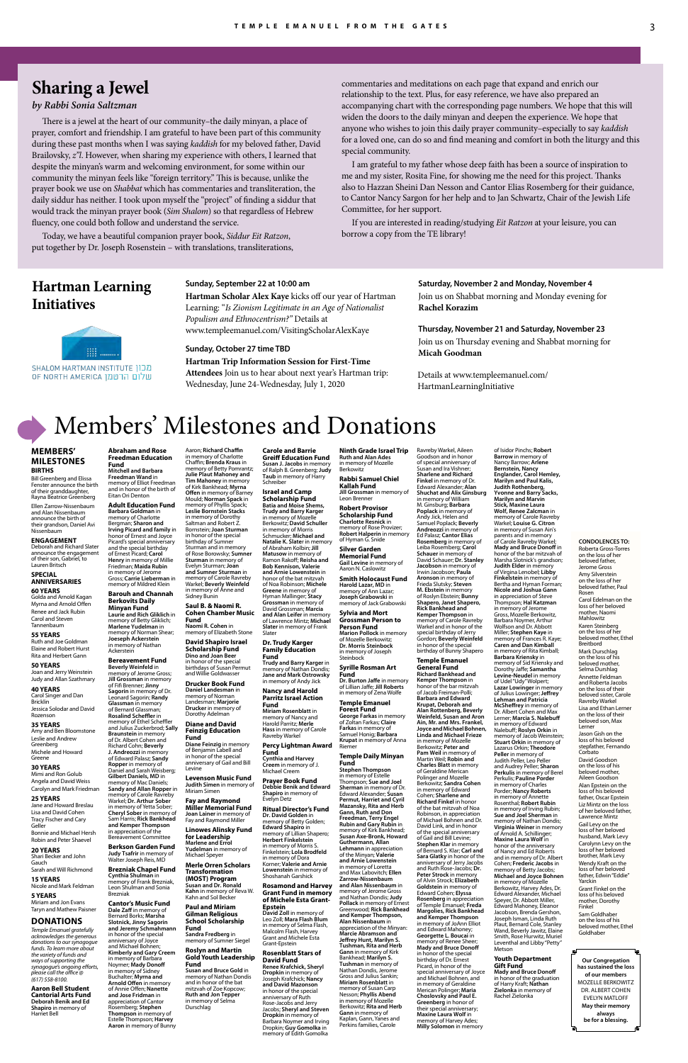# Members' Milestones and Donations

#### **MEMBERS' MILESTONES BIRTHS**

**Bill Greenberg and Elissa** Fenster announce the birth of their granddaughter Rayna Beatrice Greenberg

Ellen Zarrow-Nissenbaum and Alan Nissenbaum announce the birth of their grandson, Daniel Avi Nissenbaum

#### **ENGAGEMENT** Deborah and Richard Slater

announce the engagement of their son, Gabriel, to Lauren Britsch **SPECIAL** 

## **ANNIVERSARIES**

**60 YEARS** Golda and Arnold Kagan Myrna and Arnold Offen Renee and Jack Rubin Carol and Steven Tannenbaum

#### **55 YEARS** Ruth and Joe Goldman Elaine and Robert Hurst

Rita and Herbert Gann **50 YEARS** Joan and Jerry Weinstein

#### Judy and Allan Szathmary **40 YEARS**

Carol Singer and Dan Bricklin Jessica Solodar and David Rozenson

#### **35 YEARS**

Amy and Ben Bloomstone Leslie and Andrew Greenberg Michele and Howard Greene

#### **30 YEARS** Mimi and Ron Golub

Angela and David Weiss Carolyn and Mark Friedman

#### **25 YEARS**

Jane and Howard Breslau Lisa and David Cohen Tracy Fischer and Cary Geller Bonnie and Michael Hersh Robin and Peter Shaevel

#### **20 YEARS**

Shari Becker and John Gauch Sarah and Will Richmond

#### **15 YEARS**

Nicole and Mark Feldman

#### **5 YEARS**

Miriam and Jon Evans Taryn and Mathew Paisner

#### **DONATIONS**

*Temple Emanuel gratefully acknowledges the generous donations to our synagogue funds. To learn more about the variety of funds and ways of supporting the synagogue's ongoing efforts, please call the office @ (617) 558-8100.*

**Aaron Bell Student Cantorial Arts Fund Deborah Benik and Ed Shapiro** in memory of Harriet Bell

**Susan and Bruce Gold** in memory of Nathan Dondis and in honor of the bat mitzvah of Zoe Kopcow; **Ruth and Jon Tepper** in memory of Selma **Durschlag** 

Aaron; **Richard Chaffin** in memory of Charlotte Chaffin; **Brenda Kraus** in memory of Betty Pomrantz; **Julie Plaut Mahoney and Tim Mahoney** in memory of Kirk Bankhead; **Myrna Offen** in memory of Barney

Mould; **Norman Spack** in memory of Phyllis Spack; **Leslie Bornstein Stacks** in memory of Dorothy Saltman and Robert Z. Bornstein; **Joan Sturman** in honor of the special birthday of Sumner Sturman and in memory of Rose Borowsky; **Sumner Sturman** in memory of Evelyn Sturman; **Joan and Sumner Sturman** in memory of Carole Ravreby Warkel; **Beverly Weinfeld** in memory of Anne and Sidney Bunin

#### **Saul B. & Naomi R. Cohen Chamber Music Fund Naomi R. Cohen** in

#### **Prayer Book Fun Debbie Benik and Edward Shapiro** in memory of Evelyn Detz

memory of Elizabeth Stone **David Shapiro Israel** 

## **Scholarship Fund Dino and Joan Beer** in honor of the special birthdays of Susan Permut

and Willie Goldwasser **Drucker Book Fund Daniel Landesman** in memory of Norman Landesman; **Marjorie Drucker** in memory of Dorothy Adelman

> **Diane and David Feinzig Education Fund Diane Feinzig** in memory of Benjamin Labell and

in honor of the special anniversary of Gail and Bill Levine

**Ninth Grade Israel Trip Ruth and Alan Ades** in memory of Mozelle **Berkowitz** 

#### **Levenson Music Fund**

**Judith Simen** in memory of Miriam Simen

**Fay and Raymond Miller Memorial Fund Joan Lainer** in memory of Fay and Raymond Miller

**Linowes Alinsky Fund for Leadership Marlene and Errol Yudelman** in memory of Michael Speyer

#### **Merle Orren Scholars Transformation (MOST) Program Susan and Dr. Ronald Kahn** in memory of Reva W. Kahn and Sol Becker

#### **Paul and Miriam Gilman Religious School Scholarship Fund**

**Sandra Fredberg** in memory of Sumner Siegel

#### **Roslyn and Martin Gold Youth Leadership Fund**

**Carole and Barrie Greiff Education Fund Susan J. Jacobs** in memory of Ralph B. Greenberg; **Judy Taub** in memory of Harry Schreiber

**Israel and Camp Scholarship Fund Batia and Moise Shems, Trudy and Barry Karger** in memory of Mozelle Berkowitz; **David Schuller** in memory of Morris Schmucker; **Michael and Natalie K. Slate**r in memory of Abraham Kolbin; **Jill Matusow** in memory of Ramon Rakoff; **Reisha and Bob Kennison, Valerie and Arnie Lowenstein** in honor of the bat mitzvah of Noa Robinson; **Michele Greene** in memory of Hyman Mallinger; **Stacy Grossman** in memory of David Grossman; **Marcia and Alan Leifer** in memory of Lawrence Mintz; **Michael Slater** in memory of Frank Slater

**Dr. Trudy Karger Family Education Fund**

## **Trudy and Barry Karger** in memory of Nathan Dondis; **Jane and Mark Ostrowsky** in memory of Andy Jick

**Nancy and Harold Parritz Israel Action Fund Miriam Rosenblatt** in

Ravreby Warkel

**Fund**

**Cynthia and Harvey Creem** in memory of J. Michael Creem

**Ritual Director's Fund Dr. David Golden** in memory of Betty Golden; **Edward Shapiro** in memory of Lillian Shapero; **Herbert Finkelstein** in memory of Morris S. Finkelstein; **Lola Brodfeld** in memory of Dora Korner; **Valerie and Arnie Lowenstein** in memory of Shoshanah Garshick

**Rosamond and Harvey Grant Fund in memory of Michele Esta Grant-**

**Epstein David Zoll** in memory of Leo Zoll; **Mara Flash Blum**  in memory of Selma Flash, Malcolm Flash, Harvey Grant and Michele Esta Grant-Epstein

#### **Rosenblatt Stars of David Fund**

**Renee Krafchick, Sheryl Dropkin** in memory of<br>Joseph Krafchick: **Nanc** Joseph Krafchick; **Nancy and David Mazonson** in honor of the special anniversary of Ruth Rose-Jacobs and Jerry Jacobs; **Sheryl and Steven Dropkin** in memory of Barbara Noymer and Irving Dropkin; **Guy Gomolka** in memory of Edith Gomolka

memory of Nancy and Harold Parritz; **Merle Hass** in memory of Carole **Percy Lightman Award Forest Fund George Farkas** in memory of Zoltan Farkas; **Claire Farkas** in memory of Samuel Honig; **Barbara Krupat** in memory of Anna

**Rabbi Samuel Chiel Kallah Fund Jill Grossman** in memory of

Leon Brenner **Robert Provisor Scholarship Fund**

**Gail Levine** in memory of

**Charlotte Resnick** in memory of Rose Provizer; **Robert Halperin** in memory of Hyman G. Snide **Silver Garden Memorial Fund** memory of Jack Grabowski **Sylvia and Mort** 

Aaron N. Caslowitz **Smith Holocaust Fund Harold Lazar, MD** in memory of Ann Lazar; **Joseph Grabowski** in

**Grossman Person to Person Fund**

of Mozelle Berkowitz; **Dr. Morris Steinbock** in memory of Joseph Steinbock **Syrille Rosman Art** 

**Fund**

of Lillian Jaffe; **Jill Roberts** in memory of Zena Wolfe

**Temple Emanuel** 

Riemer

#### **Temple Daily Minyan Fund**

#### in memory of Nathan **Ackerstein**

**Stephen Thompson** in memory of Estelle hompson; **Sue and Joe Sherman** in memory of Dr.<br>**Edward Alexander: Susan Permut, Harriet and Cyril Mazansky, Rita and Herb Gann, Ruth and Don Freedman, Terry Engel Rubin and Gary Rubin** in memory of Kirk Bankhead; **Susan Axe-Bronk, Howard Guthermann, Allan Lehmann** in appreciation of the Minyan; **Valerie and Arnie Lowenstein** in memory of Loretta and Max Labovitch; **Ellen Zarrow-Nissenbaum and Alan Nissenbaum** in memory of Jerome Gross and Nathan Dondis; **Judy Pollack** in memory of Ernest Greenwood; **Rick Bankhead and Kemper Thompson, Alan Nissenbaum** in appreciation of the Minyan: **Marcie Abramson and Jeffrey Hunt, Marilyn S. Tushman, Rita and Herb Gann** in memory of Kirk Bankhead; **Marilyn S. Tushman** in memory of Nathan Dondis, Jerome Gross and Julius Sankin; **Miriam Rosenblatt** in memory of Susan Carp Nesson; **Phyllis Abend** in memory of Mozelle Berkowitz; **Rita and Herb Gann** in memory of Kaplan, Gann, Yanes and Perkins families, Carole

**Marion Pollock** in memory **Jacobson** in memory of Irwin Jacobson; **Paula Aronson** in memory of Frieda Slutsky; **Steven M. Ebstein** in memory of Roslyn Ebstein; **Bunny Shapero, Janet Shapero, Rick Bankhead and** 

**Dr. Burton Jaffe** in memory **Kemper Thompson** in honor of the bar mitzvah of Jacob Freiman-Polli; **Barbara and Edward Krupat, Deborah and Alan Rottenberg, Beverly Weinfeld, Susan and Aron Ain, Mr. and Mrs. Frankel, Joyce and Michael Bohnen, Linda and Michael Frieze**

Ravreby Warkel, Aileen Goodson and in honor of special anniversary of Susan and Ira Vishner; **Sharlene and Richard Finkel** in memory of Dr.<br>Edward Alexander; **Alan**<br>Shuchat and Alix Ginsburg in memory of William M. Ginsburg; **Barbara Poplack** in memory of Andy Jick, Helen and Samuel Poplack; **Beverly Andreozzi** in memory of Ed Palasz; **Cantor Elias Rosemberg** in memory of Leiba Rosemberg; **Carol Schauer** in memory of David Schauer; **Dr. Stanley** 

## **Kemper Thompson** in memory of Carole Ravreby Warkel and in honor of the special birthday of Jerry Gordon; **Beverly Weinfeld** in honor of the special birthday of Bunny Shapero **Temple Emanuel**

**General Fund Richard Bankhead and** 

> **Pam Weil** in memory of Martin Weil; **Robin and Charles Blatt** in memory of Geraldine Merican

in memory of Mozelle Berkowitz; **Peter and**  Polinger and Mozelle Berkowitz; **Sandra Cohen**

in memory of Edward Cohen; **Sharlene and Richard Finkel** in honor of the bat mitzvah of Noa Robinson, in appreciation of Michael Bohnen and Dr. David Link, and in honor of the special anniversary of Gail and Bill Levine; **Stephen Klar** in memory of Bernard S. Klar; **Carl and Sara Glatky** in honor of the anniversary of Jerry Jacobs and Ruth Rose-Jacobs; **Dr. Peter Strock** in memor of Alvin Strock; **Elizabeth Goldstein** in memory of Edward Cohen; **Elyssa Rosenberg** in appreciation of Temple Emanuel; **Freda Margolies, Rick Bankhead and Kemper Thompson** in memory of JoAnn Elliot and Edward Mahoney; **Georgette L. Boucai** in memory of Renee Sheer; **Mady and Bruce Donoff** in honor of the special birthday of Dr. Ernest Picard, in honor of the special anniversary of Joyce and Michael Bohnen, and in memory of Geraldine Merican Polinger; **Maria Choslovsky and Paul E. Greenberg** in honor of their special anniversary; **Maxine Laura Wolf** in memory of Harvey Ades; **Milly Solomon** in memory

of Isidor Pinchs; **Robert Barrow** in memory of Nancy Barrow; **Arlene Bernstein, Nancy Englander, Carol Hemley, Marilyn and Paul Kalis, Judith Rothenberg, Yvonne and Barry Sacks, Marilyn and Marvin Stick, Maxine Laura Wolf, Renee Zalcman** in memory of Carole Ravreby Warkel; **Louise G. Citron** in memory of Susan Ain's parents and in memory of Carole Ravreby Warkel; **Mady and Bruce Donoff** in honor of the bar mitzvah of Marsha Slotnick's grandson; **Judith Elder** in memory of Virgina Lenobel; **Libby Finkelstein** in memory of Bertha and Hyman Forman; **Nicole and Joshua Gann** in appreciation of Steve Thompson; **Hal Katzman** in memory of Jerome<br>Gross, Mozelle Berkowitz, Barbara Noymer, Arthur Wolfson and Dr. Abbott Miller; **Stephen Kaye** in memory of Frances R. Kaye; **Caren and Dan Kimball** in memory of Rita Kimball; **Barbara Kriensky** in memory of Sid Kriensky and Dorothy Jaffe; **Samantha Levine-Neudel** in memory of Udel "Udy" Wolpert; **Lazar Lowinger** in memory of Julius Lowinger; **Jeffrey Lehman and Patricia McSheffrey** in memory of Dr. Albert Cohen and Max Lerner; **Marcia S. Nalebuff** in memory of Edward<br>Nalebuff; **Roslyn Orkin** in memory of Jacob Weinstein; **Stuart Orkin** in memory of Lazarus Orkin; **Theodore Peller** in memory of Judith Peller, Leo Peller

and Audrey Peller; **Sharon Perkulis** in memory of Berel

Perkulis; **Pauline Porder** in memory of Charles Porder; **Nancy Roberts** in memory of Annette Rosenthal; **Robert Rubin** in memory of Irving Rubin; **Sue and Joel Sherman** in memory of Nathan Dondis; **Virginia Weiner** in memory of Arnold A. Schillinger; **Maxine Laura Wolf** in honor of the anniversary of Nancy and Ed Roberts and in memory of Dr. Albert Cohen; **Frederic Jacobs** in memory of Betty Jacobs; **Michael and Joyce Bohnen** in memory of Mozelle<br>Berkowitz, Harvey Ades, Dr.<br>Edward Alexander, Michael Speyer, Dr. Abbott Miller, Edward Mahoney, Eleanor Jacobson, Brenda Gershon, Joseph Isman, Linda Ruth Plaut, Bernard Cole, Stanley Wand, Beverly Jawitz, Elaine Smith, Rose Hurwitz, Muriel Leventhal and Libby "Petty"

Metson

**Youth Department Gift Fund Mady and Bruce Donoff** in honor of the graduation

# of Harry Kraft; **Nathan Zielonka** in memory of Rachel Zielonka

**Abraham and Rose Freedman Education Fund Mitchell and Barbara Freedman Wand** in

memory of Elliot Freedman and in honor of the birth of Eitan Ori Denton **Adult Education Fund Barbara Goldman** in memory of Charlotte Bergman; **Sharon and** 

**Irving Picard and family** in honor of Ernest and Joyce Picard's special anniversary and the special birthday of Ernest Picard; **Carol Henry** in memory of Millie Friedman; **Maida Rubin** in memory of Jerome Gross; **Carrie Lieberman** in memory of Mildred Klein

**Barouh and Channah Berkovits Daily Minyan Fund Laurie and Rich Gliklich** in memory of Betty Gliklich; **Marlene Yudelman** in memory of Norman Shear; **Joeseph Ackerstein**

**Bereavement Fund Beverly Weinfeld** in memory of Jerome Gross; **Jill Grossman** in memory of Fifi Brenner; **Jinny Sagorin** in memory of Dr. Leonard Sagorin; **Randy Glassman** in memory of Bernard Glassman;<br>**Rosalind Scheffler** in **Rosalind Scheffler** in memory of Ethel Scheffler and Julius Zuckerbrod; **Sally** 

**Braunstein** in memory of Dr. Albert Cohen and Richard Cohn; **Beverly J. Andreozzi** in mem of Edward Palasz; **Sandy Ropper** in memory of Daniel and Sarah Weisberg; **Gilbert Daniels, MD** in

memory of Mac Daniels; **Sandy and Allan Ropper** in memory of Carole Ravreby Warkel; **Dr. Arthur Sober** in memory of Yetta Sober; **Cheryl Sober** in memory of Sam Harris; **Rick Bankhead and Kemper Thompson**

in appreciation of the Bereavement Committee

## **Berkson Garden Fund**

**Judy Tsafrir** in memory of Walter Joseph Reis, MD

#### **Brezniak Chapel Fund Cynthia Shulman** in memory of Frank Brezniak, Leon Shulman and Sonia Brezniak

#### **Cantor's Music Fund Dale Zaff** in memory of

Bernard Borks; **Marsha Slotnick, Jinny Sagorin and Jeremy Schmahmann**  in honor of the special anniversary of Joyce and Michael Bohnen; **Kimberly and Gary Creem** in memory of Barbara Noymer; **Mady Donoff** in memory of Sidney Buchalter; **Myrna and Arnold Offen** in memory of Annie Offen; **Nanette and Jose Fridman** in appreciation of Cantor Rosemberg; **Stephen Thompson** in memory of Estelle Thompson; **Harvey Aaron** in memory of Bunny

**Our Congregation has sustained the loss of our members** MOZELLE BERKOWITZ DR. ALBERT COHEN EVELYN MATLOFF **May their memory always be for a blessing.**

**CONDOLENCES TO:** Roberta Gross-Torres on the loss of her beloved father, Jerome Gross Amy Silverstein on the loss of her beloved father, Paul Rosen Carol Edelman on the loss of her beloved mother, Naomi Mahlowitz Karen Steinberg on the loss of her beloved mother, Ethel Breitbord Mark Durschlag on the loss of his beloved mother,<br>Selma Durshlag Annette Feldman and Roberta Jacobs on the loss of their beloved sister, Carole Ravreby Warkel Lisa and Ethan Lerner on the loss of their beloved son, Max **Lerner** Jason Gish on the loss of his beloved stepfather, Fernando Corbato David Goodson on the loss of his beloved mother, Aileen Goodson

Alan Epstein on the loss of his beloved father, Oscar Epstein Liz Mintz on the loss of her beloved father, Lawrence Mintz

Gail Levy on the loss of her beloved husband, Mark Levy

Carolynn Levy on the loss of her beloved brother, Mark Levy

Wendy Kraft on the loss of her beloved father, Edwin "Eddie" Yarckin

Grant Finkel on the loss of his beloved mother, Dorothy Finkel Sam Goldhaber on the loss of his

beloved mother, Ethel Goldhaber

# **Sharing a Jewel**

#### *by Rabbi Sonia Saltzman*

There is a jewel at the heart of our community–the daily minyan, a place of prayer, comfort and friendship. I am grateful to have been part of this community during these past months when I was saying *kaddish* for my beloved father, David Brailovsky, *z"l*. However, when sharing my experience with others, I learned that despite the minyan's warm and welcoming environment, for some within our community the minyan feels like "foreign territory." This is because, unlike the prayer book we use on *Shabbat* which has commentaries and transliteration, the daily siddur has neither. I took upon myself the "project" of finding a siddur that would track the minyan prayer book (*Sim Shalom*) so that regardless of Hebrew fluency, one could both follow and understand the service.

Today, we have a beautiful companion prayer book, *Siddur Eit Ratzon*, put together by Dr. Joseph Rosenstein – with translations, transliterations, commentaries and meditations on each page that expand and enrich our relationship to the text. Plus, for easy reference, we have also prepared an accompanying chart with the corresponding page numbers. We hope that this will widen the doors to the daily minyan and deepen the experience. We hope that anyone who wishes to join this daily prayer community–especially to say *kaddish* for a loved one, can do so and find meaning and comfort in both the liturgy and this special community.

I am grateful to my father whose deep faith has been a source of inspiration to me and my sister, Rosita Fine, for showing me the need for this project. Thanks also to Hazzan Sheini Dan Nesson and Cantor Elias Rosemberg for their guidance, to Cantor Nancy Sargon for her help and to Jan Schwartz, Chair of the Jewish Life Committee, for her support.

If you are interested in reading/studying *Eit Ratzon* at your leisure, you can borrow a copy from the TE library!

> Details at www.templeemanuel.com/ HartmanLearningInitiative

## **Sunday, September 22 at 10:00 am**

**Hartman Scholar Alex Kaye** kicks off our year of Hartman Learning: "*Is Zionism Legitimate in an Age of Nationalist Populism and Ethnocentrism?"* Details at www.templeemanuel.com/VisitingScholarAlexKaye

#### **Sunday, October 27 time TBD**

**Hartman Trip Information Session for First-Time Attendees** Join us to hear about next year's Hartman trip: Wednesday, June 24-Wednesday, July 1, 2020

# **Saturday, November 2 and Monday, November 4**

Join us on Shabbat morning and Monday evening for **Rachel Korazim**

**Thursday, November 21 and Saturday, November 23** Join us on Thursday evening and Shabbat morning for **Micah Goodman**

# **Hartman Learning Initiatives**

⊞… **SHALOM HARTMAN INSTITUTE DIET** טלום הרטמן OF NORTH AMERICA